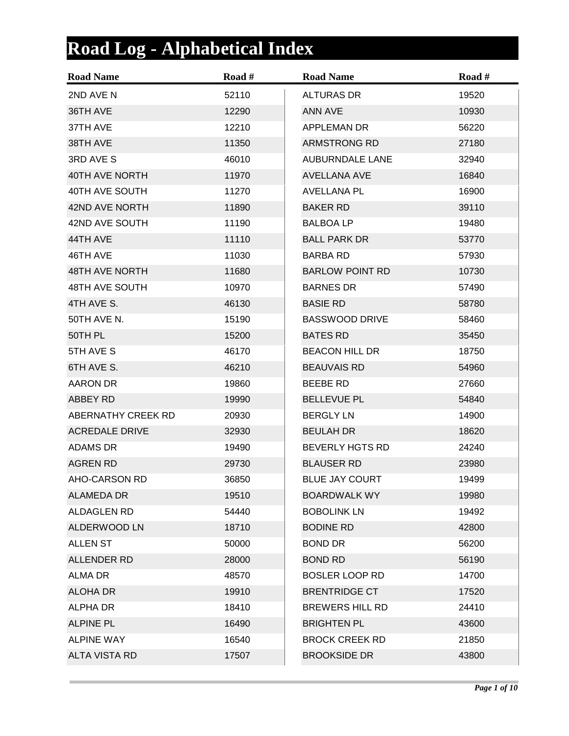## **Road Log - Alphabetical Index**

| <b>Road Name</b>      | Road # | <b>Road Name</b>       | Road # |
|-----------------------|--------|------------------------|--------|
| 2ND AVE N             | 52110  | <b>ALTURAS DR</b>      | 19520  |
| 36TH AVE              | 12290  | ANN AVE                | 10930  |
| 37TH AVE              | 12210  | <b>APPLEMAN DR</b>     | 56220  |
| 38TH AVE              | 11350  | ARMSTRONG RD           | 27180  |
| 3RD AVE S             | 46010  | <b>AUBURNDALE LANE</b> | 32940  |
| 40TH AVE NORTH        | 11970  | <b>AVELLANA AVE</b>    | 16840  |
| 40TH AVE SOUTH        | 11270  | <b>AVELLANA PL</b>     | 16900  |
| 42ND AVE NORTH        | 11890  | <b>BAKER RD</b>        | 39110  |
| 42ND AVE SOUTH        | 11190  | <b>BALBOA LP</b>       | 19480  |
| 44TH AVE              | 11110  | <b>BALL PARK DR</b>    | 53770  |
| 46TH AVE              | 11030  | <b>BARBA RD</b>        | 57930  |
| <b>48TH AVE NORTH</b> | 11680  | <b>BARLOW POINT RD</b> | 10730  |
| 48TH AVE SOUTH        | 10970  | <b>BARNES DR</b>       | 57490  |
| 4TH AVE S.            | 46130  | <b>BASIE RD</b>        | 58780  |
| 50TH AVE N.           | 15190  | <b>BASSWOOD DRIVE</b>  | 58460  |
| 50TH PL               | 15200  | <b>BATES RD</b>        | 35450  |
| 5TH AVE S             | 46170  | <b>BEACON HILL DR</b>  | 18750  |
| 6TH AVE S.            | 46210  | <b>BEAUVAIS RD</b>     | 54960  |
| AARON DR              | 19860  | <b>BEEBE RD</b>        | 27660  |
| ABBEY RD              | 19990  | <b>BELLEVUE PL</b>     | 54840  |
| ABERNATHY CREEK RD    | 20930  | <b>BERGLY LN</b>       | 14900  |
| <b>ACREDALE DRIVE</b> | 32930  | <b>BEULAH DR</b>       | 18620  |
| <b>ADAMS DR</b>       | 19490  | <b>BEVERLY HGTS RD</b> | 24240  |
| <b>AGREN RD</b>       | 29730  | <b>BLAUSER RD</b>      | 23980  |
| AHO-CARSON RD         | 36850  | <b>BLUE JAY COURT</b>  | 19499  |
| ALAMEDA DR            | 19510  | <b>BOARDWALK WY</b>    | 19980  |
| <b>ALDAGLEN RD</b>    | 54440  | <b>BOBOLINK LN</b>     | 19492  |
| ALDERWOOD LN          | 18710  | <b>BODINE RD</b>       | 42800  |
| <b>ALLEN ST</b>       | 50000  | <b>BOND DR</b>         | 56200  |
| <b>ALLENDER RD</b>    | 28000  | <b>BOND RD</b>         | 56190  |
| <b>ALMA DR</b>        | 48570  | <b>BOSLER LOOP RD</b>  | 14700  |
| <b>ALOHA DR</b>       | 19910  | <b>BRENTRIDGE CT</b>   | 17520  |
| ALPHA DR              | 18410  | <b>BREWERS HILL RD</b> | 24410  |
| <b>ALPINE PL</b>      | 16490  | <b>BRIGHTEN PL</b>     | 43600  |
| <b>ALPINE WAY</b>     | 16540  | <b>BROCK CREEK RD</b>  | 21850  |
| <b>ALTA VISTA RD</b>  | 17507  | <b>BROOKSIDE DR</b>    | 43800  |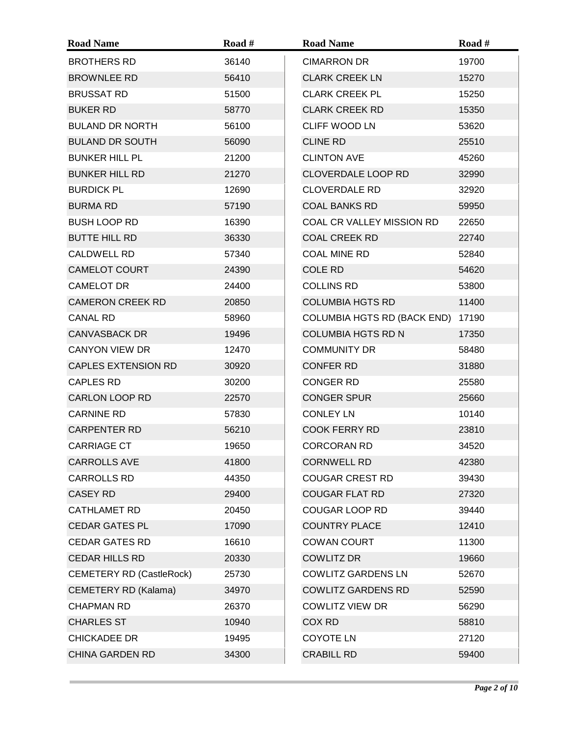| <b>Road Name</b>                | Road # | <b>Road Name</b>                 | Road # |
|---------------------------------|--------|----------------------------------|--------|
| <b>BROTHERS RD</b>              | 36140  | <b>CIMARRON DR</b>               | 19700  |
| <b>BROWNLEE RD</b>              | 56410  | <b>CLARK CREEK LN</b>            | 15270  |
| <b>BRUSSAT RD</b>               | 51500  | <b>CLARK CREEK PL</b>            | 15250  |
| <b>BUKER RD</b>                 | 58770  | <b>CLARK CREEK RD</b>            | 15350  |
| <b>BULAND DR NORTH</b>          | 56100  | <b>CLIFF WOOD LN</b>             | 53620  |
| <b>BULAND DR SOUTH</b>          | 56090  | <b>CLINE RD</b>                  | 25510  |
| <b>BUNKER HILL PL</b>           | 21200  | <b>CLINTON AVE</b>               | 45260  |
| <b>BUNKER HILL RD</b>           | 21270  | <b>CLOVERDALE LOOP RD</b>        | 32990  |
| <b>BURDICK PL</b>               | 12690  | <b>CLOVERDALE RD</b>             | 32920  |
| <b>BURMA RD</b>                 | 57190  | <b>COAL BANKS RD</b>             | 59950  |
| <b>BUSH LOOP RD</b>             | 16390  | <b>COAL CR VALLEY MISSION RD</b> | 22650  |
| <b>BUTTE HILL RD</b>            | 36330  | <b>COAL CREEK RD</b>             | 22740  |
| <b>CALDWELL RD</b>              | 57340  | <b>COAL MINE RD</b>              | 52840  |
| <b>CAMELOT COURT</b>            | 24390  | <b>COLE RD</b>                   | 54620  |
| <b>CAMELOT DR</b>               | 24400  | <b>COLLINS RD</b>                | 53800  |
| <b>CAMERON CREEK RD</b>         | 20850  | <b>COLUMBIA HGTS RD</b>          | 11400  |
| <b>CANAL RD</b>                 | 58960  | COLUMBIA HGTS RD (BACK END)      | 17190  |
| <b>CANVASBACK DR</b>            | 19496  | <b>COLUMBIA HGTS RD N</b>        | 17350  |
| <b>CANYON VIEW DR</b>           | 12470  | <b>COMMUNITY DR</b>              | 58480  |
| <b>CAPLES EXTENSION RD</b>      | 30920  | <b>CONFER RD</b>                 | 31880  |
| <b>CAPLES RD</b>                | 30200  | <b>CONGER RD</b>                 | 25580  |
| <b>CARLON LOOP RD</b>           | 22570  | <b>CONGER SPUR</b>               | 25660  |
| <b>CARNINE RD</b>               | 57830  | <b>CONLEY LN</b>                 | 10140  |
| <b>CARPENTER RD</b>             | 56210  | <b>COOK FERRY RD</b>             | 23810  |
| <b>CARRIAGE CT</b>              | 19650  | <b>CORCORAN RD</b>               | 34520  |
| <b>CARROLLS AVE</b>             | 41800  | <b>CORNWELL RD</b>               | 42380  |
| <b>CARROLLS RD</b>              | 44350  | <b>COUGAR CREST RD</b>           | 39430  |
| <b>CASEY RD</b>                 | 29400  | <b>COUGAR FLAT RD</b>            | 27320  |
| <b>CATHLAMET RD</b>             | 20450  | <b>COUGAR LOOP RD</b>            | 39440  |
| <b>CEDAR GATES PL</b>           | 17090  | <b>COUNTRY PLACE</b>             | 12410  |
| <b>CEDAR GATES RD</b>           | 16610  | <b>COWAN COURT</b>               | 11300  |
| <b>CEDAR HILLS RD</b>           | 20330  | <b>COWLITZ DR</b>                | 19660  |
| <b>CEMETERY RD (CastleRock)</b> | 25730  | <b>COWLITZ GARDENS LN</b>        | 52670  |
| <b>CEMETERY RD (Kalama)</b>     | 34970  | <b>COWLITZ GARDENS RD</b>        | 52590  |
| <b>CHAPMAN RD</b>               | 26370  | <b>COWLITZ VIEW DR</b>           | 56290  |
| <b>CHARLES ST</b>               | 10940  | COX RD                           | 58810  |
| <b>CHICKADEE DR</b>             | 19495  | <b>COYOTE LN</b>                 | 27120  |
| <b>CHINA GARDEN RD</b>          | 34300  | <b>CRABILL RD</b>                | 59400  |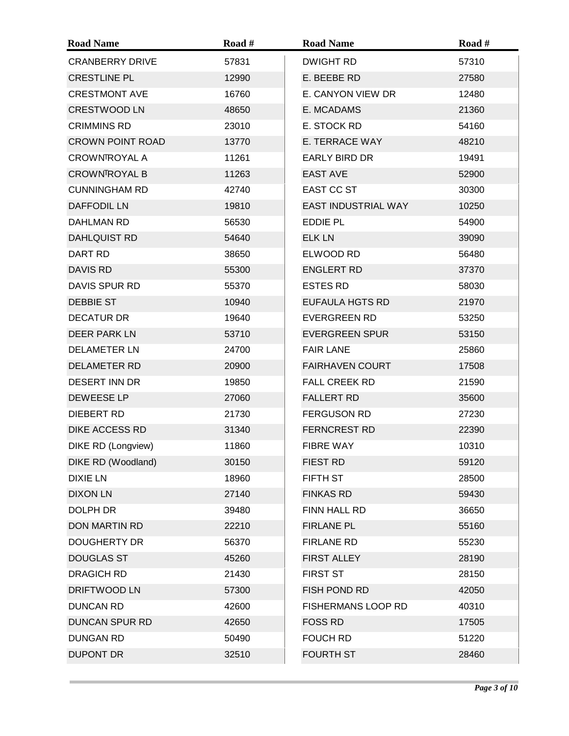| <b>Road Name</b>        | Road # | <b>Road Name</b>          | Road # |
|-------------------------|--------|---------------------------|--------|
| <b>CRANBERRY DRIVE</b>  | 57831  | <b>DWIGHT RD</b>          | 57310  |
| <b>CRESTLINE PL</b>     | 12990  | E. BEEBE RD               | 27580  |
| <b>CRESTMONT AVE</b>    | 16760  | E. CANYON VIEW DR         | 12480  |
| <b>CRESTWOOD LN</b>     | 48650  | E. MCADAMS                | 21360  |
| <b>CRIMMINS RD</b>      | 23010  | E. STOCK RD               | 54160  |
| <b>CROWN POINT ROAD</b> | 13770  | E. TERRACE WAY            | 48210  |
| <b>CROWNTROYAL A</b>    | 11261  | <b>EARLY BIRD DR</b>      | 19491  |
| <b>CROWNTROYAL B</b>    | 11263  | <b>EAST AVE</b>           | 52900  |
| <b>CUNNINGHAM RD</b>    | 42740  | <b>EAST CC ST</b>         | 30300  |
| <b>DAFFODIL LN</b>      | 19810  | EAST INDUSTRIAL WAY       | 10250  |
| DAHLMAN RD              | 56530  | EDDIE PL                  | 54900  |
| <b>DAHLQUIST RD</b>     | 54640  | <b>ELK LN</b>             | 39090  |
| DART RD                 | 38650  | ELWOOD RD                 | 56480  |
| <b>DAVIS RD</b>         | 55300  | <b>ENGLERT RD</b>         | 37370  |
| DAVIS SPUR RD           | 55370  | <b>ESTES RD</b>           | 58030  |
| <b>DEBBIE ST</b>        | 10940  | <b>EUFAULA HGTS RD</b>    | 21970  |
| <b>DECATUR DR</b>       | 19640  | <b>EVERGREEN RD</b>       | 53250  |
| DEER PARK LN            | 53710  | <b>EVERGREEN SPUR</b>     | 53150  |
| <b>DELAMETER LN</b>     | 24700  | <b>FAIR LANE</b>          | 25860  |
| DELAMETER RD            | 20900  | <b>FAIRHAVEN COURT</b>    | 17508  |
| DESERT INN DR           | 19850  | <b>FALL CREEK RD</b>      | 21590  |
| DEWEESE LP              | 27060  | <b>FALLERT RD</b>         | 35600  |
| DIEBERT RD              | 21730  | <b>FERGUSON RD</b>        | 27230  |
| <b>DIKE ACCESS RD</b>   | 31340  | <b>FERNCREST RD</b>       | 22390  |
| DIKE RD (Longview)      | 11860  | <b>FIBRE WAY</b>          | 10310  |
| DIKE RD (Woodland)      | 30150  | <b>FIEST RD</b>           | 59120  |
| <b>DIXIE LN</b>         | 18960  | FIFTH ST                  | 28500  |
| <b>DIXON LN</b>         | 27140  | <b>FINKAS RD</b>          | 59430  |
| DOLPH DR                | 39480  | FINN HALL RD              | 36650  |
| DON MARTIN RD           | 22210  | <b>FIRLANE PL</b>         | 55160  |
| <b>DOUGHERTY DR</b>     | 56370  | <b>FIRLANE RD</b>         | 55230  |
| <b>DOUGLAS ST</b>       | 45260  | <b>FIRST ALLEY</b>        | 28190  |
| <b>DRAGICH RD</b>       | 21430  | <b>FIRST ST</b>           | 28150  |
| DRIFTWOOD LN            | 57300  | FISH POND RD              | 42050  |
| <b>DUNCAN RD</b>        | 42600  | <b>FISHERMANS LOOP RD</b> | 40310  |
| <b>DUNCAN SPUR RD</b>   | 42650  | <b>FOSS RD</b>            | 17505  |
| <b>DUNGAN RD</b>        | 50490  | <b>FOUCH RD</b>           | 51220  |
| <b>DUPONT DR</b>        | 32510  | <b>FOURTH ST</b>          | 28460  |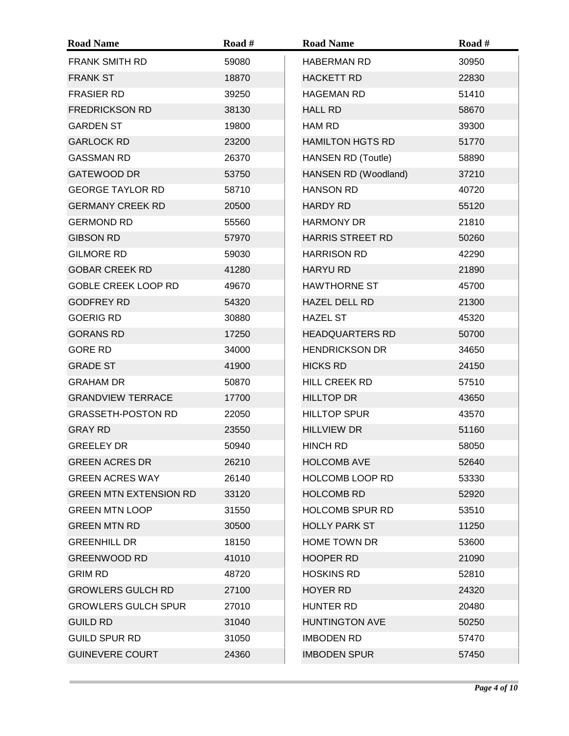| <b>Road Name</b>              | Road # | <b>Road Name</b>          | Road # |
|-------------------------------|--------|---------------------------|--------|
| <b>FRANK SMITH RD</b>         | 59080  | <b>HABERMAN RD</b>        | 30950  |
| <b>FRANK ST</b>               | 18870  | <b>HACKETT RD</b>         | 22830  |
| <b>FRASIER RD</b>             | 39250  | <b>HAGEMAN RD</b>         | 51410  |
| <b>FREDRICKSON RD</b>         | 38130  | <b>HALL RD</b>            | 58670  |
| <b>GARDEN ST</b>              | 19800  | HAM RD                    | 39300  |
| <b>GARLOCK RD</b>             | 23200  | <b>HAMILTON HGTS RD</b>   | 51770  |
| <b>GASSMAN RD</b>             | 26370  | <b>HANSEN RD (Toutle)</b> | 58890  |
| <b>GATEWOOD DR</b>            | 53750  | HANSEN RD (Woodland)      | 37210  |
| <b>GEORGE TAYLOR RD</b>       | 58710  | <b>HANSON RD</b>          | 40720  |
| <b>GERMANY CREEK RD</b>       | 20500  | <b>HARDY RD</b>           | 55120  |
| <b>GERMOND RD</b>             | 55560  | <b>HARMONY DR</b>         | 21810  |
| <b>GIBSON RD</b>              | 57970  | <b>HARRIS STREET RD</b>   | 50260  |
| <b>GILMORE RD</b>             | 59030  | <b>HARRISON RD</b>        | 42290  |
| <b>GOBAR CREEK RD</b>         | 41280  | <b>HARYU RD</b>           | 21890  |
| <b>GOBLE CREEK LOOP RD</b>    | 49670  | <b>HAWTHORNE ST</b>       | 45700  |
| <b>GODFREY RD</b>             | 54320  | HAZEL DELL RD             | 21300  |
| <b>GOERIG RD</b>              | 30880  | <b>HAZEL ST</b>           | 45320  |
| <b>GORANS RD</b>              | 17250  | <b>HEADQUARTERS RD</b>    | 50700  |
| <b>GORE RD</b>                | 34000  | <b>HENDRICKSON DR</b>     | 34650  |
| <b>GRADE ST</b>               | 41900  | <b>HICKS RD</b>           | 24150  |
| <b>GRAHAM DR</b>              | 50870  | HILL CREEK RD             | 57510  |
| <b>GRANDVIEW TERRACE</b>      | 17700  | <b>HILLTOP DR</b>         | 43650  |
| <b>GRASSETH-POSTON RD</b>     | 22050  | <b>HILLTOP SPUR</b>       | 43570  |
| <b>GRAY RD</b>                | 23550  | <b>HILLVIEW DR</b>        | 51160  |
| <b>GREELEY DR</b>             | 50940  | <b>HINCH RD</b>           | 58050  |
| <b>GREEN ACRES DR</b>         | 26210  | <b>HOLCOMB AVE</b>        | 52640  |
| <b>GREEN ACRES WAY</b>        | 26140  | <b>HOLCOMB LOOP RD</b>    | 53330  |
| <b>GREEN MTN EXTENSION RD</b> | 33120  | <b>HOLCOMB RD</b>         | 52920  |
| <b>GREEN MTN LOOP</b>         | 31550  | <b>HOLCOMB SPUR RD</b>    | 53510  |
| <b>GREEN MTN RD</b>           | 30500  | <b>HOLLY PARK ST</b>      | 11250  |
| <b>GREENHILL DR</b>           | 18150  | <b>HOME TOWN DR</b>       | 53600  |
| <b>GREENWOOD RD</b>           | 41010  | <b>HOOPER RD</b>          | 21090  |
| <b>GRIM RD</b>                | 48720  | <b>HOSKINS RD</b>         | 52810  |
| <b>GROWLERS GULCH RD</b>      | 27100  | <b>HOYER RD</b>           | 24320  |
| <b>GROWLERS GULCH SPUR</b>    | 27010  | HUNTER RD                 | 20480  |
| <b>GUILD RD</b>               | 31040  | <b>HUNTINGTON AVE</b>     | 50250  |
| <b>GUILD SPUR RD</b>          | 31050  | <b>IMBODEN RD</b>         | 57470  |
| <b>GUINEVERE COURT</b>        | 24360  | <b>IMBODEN SPUR</b>       | 57450  |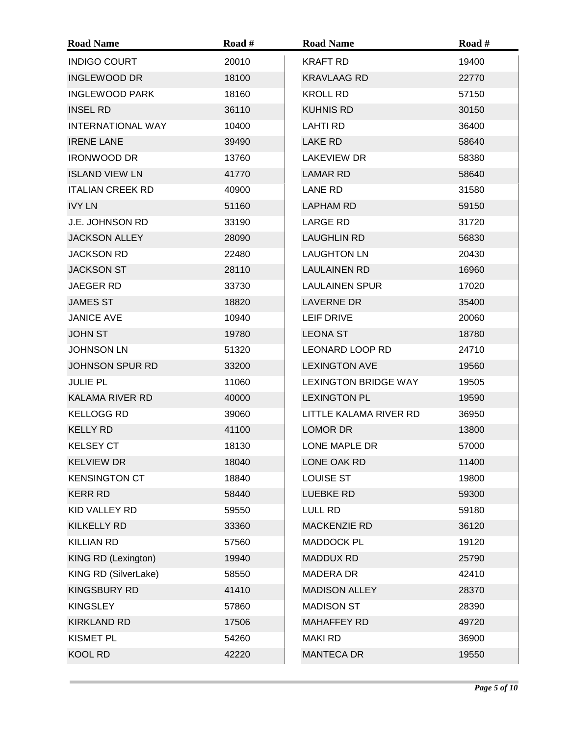| <b>Road Name</b>         | Road # | <b>Road Name</b>            | Road # |
|--------------------------|--------|-----------------------------|--------|
| <b>INDIGO COURT</b>      | 20010  | <b>KRAFT RD</b>             | 19400  |
| <b>INGLEWOOD DR</b>      | 18100  | <b>KRAVLAAG RD</b>          | 22770  |
| <b>INGLEWOOD PARK</b>    | 18160  | <b>KROLL RD</b>             | 57150  |
| <b>INSEL RD</b>          | 36110  | <b>KUHNIS RD</b>            | 30150  |
| <b>INTERNATIONAL WAY</b> | 10400  | <b>LAHTI RD</b>             | 36400  |
| <b>IRENE LANE</b>        | 39490  | LAKE RD                     | 58640  |
| <b>IRONWOOD DR</b>       | 13760  | <b>LAKEVIEW DR</b>          | 58380  |
| <b>ISLAND VIEW LN</b>    | 41770  | <b>LAMAR RD</b>             | 58640  |
| <b>ITALIAN CREEK RD</b>  | 40900  | LANE RD                     | 31580  |
| <b>IVY LN</b>            | 51160  | <b>LAPHAM RD</b>            | 59150  |
| <b>J.E. JOHNSON RD</b>   | 33190  | <b>LARGE RD</b>             | 31720  |
| <b>JACKSON ALLEY</b>     | 28090  | <b>LAUGHLIN RD</b>          | 56830  |
| <b>JACKSON RD</b>        | 22480  | <b>LAUGHTON LN</b>          | 20430  |
| <b>JACKSON ST</b>        | 28110  | <b>LAULAINEN RD</b>         | 16960  |
| <b>JAEGER RD</b>         | 33730  | <b>LAULAINEN SPUR</b>       | 17020  |
| <b>JAMES ST</b>          | 18820  | LAVERNE DR                  | 35400  |
| <b>JANICE AVE</b>        | 10940  | <b>LEIF DRIVE</b>           | 20060  |
| <b>JOHN ST</b>           | 19780  | <b>LEONA ST</b>             | 18780  |
| <b>JOHNSON LN</b>        | 51320  | <b>LEONARD LOOP RD</b>      | 24710  |
| <b>JOHNSON SPUR RD</b>   | 33200  | <b>LEXINGTON AVE</b>        | 19560  |
| <b>JULIE PL</b>          | 11060  | <b>LEXINGTON BRIDGE WAY</b> | 19505  |
| <b>KALAMA RIVER RD</b>   | 40000  | <b>LEXINGTON PL</b>         | 19590  |
| <b>KELLOGG RD</b>        | 39060  | LITTLE KALAMA RIVER RD      | 36950  |
| <b>KELLY RD</b>          | 41100  | <b>LOMOR DR</b>             | 13800  |
| <b>KELSEY CT</b>         | 18130  | LONE MAPLE DR               | 57000  |
| <b>KELVIEW DR</b>        | 18040  | LONE OAK RD                 | 11400  |
| <b>KENSINGTON CT</b>     | 18840  | <b>LOUISE ST</b>            | 19800  |
| <b>KERR RD</b>           | 58440  | <b>LUEBKE RD</b>            | 59300  |
| KID VALLEY RD            | 59550  | <b>LULL RD</b>              | 59180  |
| <b>KILKELLY RD</b>       | 33360  | <b>MACKENZIE RD</b>         | 36120  |
| <b>KILLIAN RD</b>        | 57560  | <b>MADDOCK PL</b>           | 19120  |
| KING RD (Lexington)      | 19940  | <b>MADDUX RD</b>            | 25790  |
| KING RD (SilverLake)     | 58550  | <b>MADERA DR</b>            | 42410  |
| <b>KINGSBURY RD</b>      | 41410  | <b>MADISON ALLEY</b>        | 28370  |
| <b>KINGSLEY</b>          | 57860  | <b>MADISON ST</b>           | 28390  |
| <b>KIRKLAND RD</b>       | 17506  | <b>MAHAFFEY RD</b>          | 49720  |
| <b>KISMET PL</b>         | 54260  | <b>MAKI RD</b>              | 36900  |
| <b>KOOL RD</b>           | 42220  | <b>MANTECA DR</b>           | 19550  |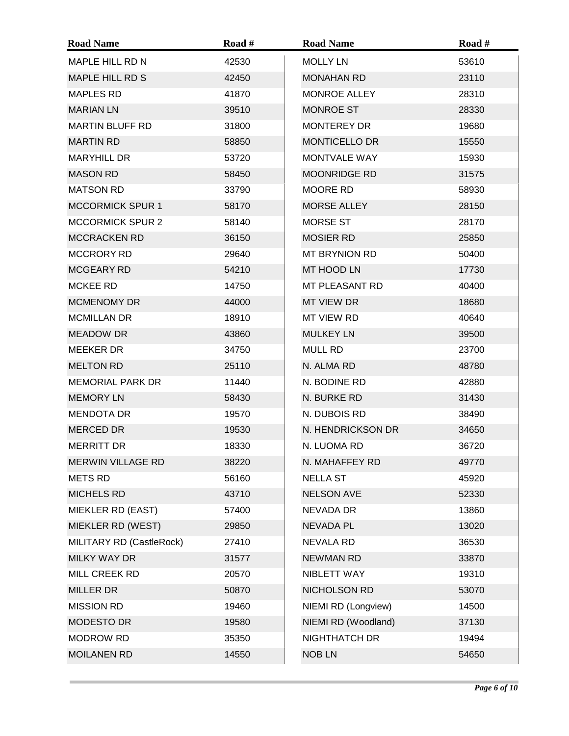| <b>Road Name</b>         | Road # | <b>Road Name</b>     | Road # |
|--------------------------|--------|----------------------|--------|
| MAPLE HILL RD N          | 42530  | <b>MOLLY LN</b>      | 53610  |
| <b>MAPLE HILL RD S</b>   | 42450  | <b>MONAHAN RD</b>    | 23110  |
| <b>MAPLES RD</b>         | 41870  | <b>MONROE ALLEY</b>  | 28310  |
| <b>MARIAN LN</b>         | 39510  | <b>MONROE ST</b>     | 28330  |
| <b>MARTIN BLUFF RD</b>   | 31800  | <b>MONTEREY DR</b>   | 19680  |
| <b>MARTIN RD</b>         | 58850  | <b>MONTICELLO DR</b> | 15550  |
| <b>MARYHILL DR</b>       | 53720  | <b>MONTVALE WAY</b>  | 15930  |
| <b>MASON RD</b>          | 58450  | <b>MOONRIDGE RD</b>  | 31575  |
| <b>MATSON RD</b>         | 33790  | MOORE RD             | 58930  |
| <b>MCCORMICK SPUR 1</b>  | 58170  | <b>MORSE ALLEY</b>   | 28150  |
| <b>MCCORMICK SPUR 2</b>  | 58140  | <b>MORSE ST</b>      | 28170  |
| <b>MCCRACKEN RD</b>      | 36150  | <b>MOSIER RD</b>     | 25850  |
| <b>MCCRORY RD</b>        | 29640  | <b>MT BRYNION RD</b> | 50400  |
| MCGEARY RD               | 54210  | MT HOOD LN           | 17730  |
| MCKEE RD                 | 14750  | MT PLEASANT RD       | 40400  |
| <b>MCMENOMY DR</b>       | 44000  | MT VIEW DR           | 18680  |
| <b>MCMILLAN DR</b>       | 18910  | MT VIEW RD           | 40640  |
| <b>MEADOW DR</b>         | 43860  | <b>MULKEY LN</b>     | 39500  |
| <b>MEEKER DR</b>         | 34750  | <b>MULL RD</b>       | 23700  |
| <b>MELTON RD</b>         | 25110  | N. ALMA RD           | 48780  |
| <b>MEMORIAL PARK DR</b>  | 11440  | N. BODINE RD         | 42880  |
| <b>MEMORY LN</b>         | 58430  | N. BURKE RD          | 31430  |
| <b>MENDOTA DR</b>        | 19570  | N. DUBOIS RD         | 38490  |
| <b>MERCED DR</b>         | 19530  | N. HENDRICKSON DR    | 34650  |
| <b>MERRITT DR</b>        | 18330  | N. LUOMA RD          | 36720  |
| MERWIN VILLAGE RD        | 38220  | N. MAHAFFEY RD       | 49770  |
| <b>METS RD</b>           | 56160  | <b>NELLA ST</b>      | 45920  |
| <b>MICHELS RD</b>        | 43710  | <b>NELSON AVE</b>    | 52330  |
| MIEKLER RD (EAST)        | 57400  | <b>NEVADA DR</b>     | 13860  |
| MIEKLER RD (WEST)        | 29850  | NEVADA PL            | 13020  |
| MILITARY RD (CastleRock) | 27410  | NEVALA RD            | 36530  |
| <b>MILKY WAY DR</b>      | 31577  | <b>NEWMAN RD</b>     | 33870  |
| MILL CREEK RD            | 20570  | NIBLETT WAY          | 19310  |
| <b>MILLER DR</b>         | 50870  | NICHOLSON RD         | 53070  |
| <b>MISSION RD</b>        | 19460  | NIEMI RD (Longview)  | 14500  |
| <b>MODESTO DR</b>        | 19580  | NIEMI RD (Woodland)  | 37130  |
| <b>MODROW RD</b>         | 35350  | NIGHTHATCH DR        | 19494  |
| <b>MOILANEN RD</b>       | 14550  | <b>NOB LN</b>        | 54650  |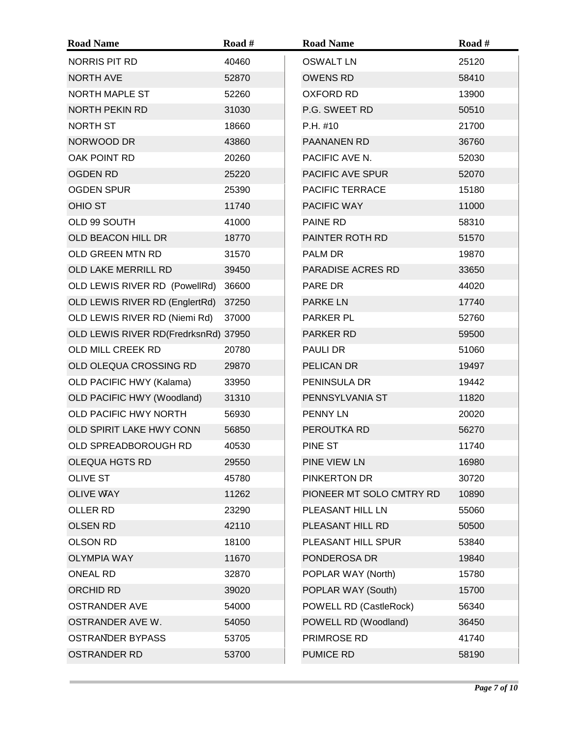| <b>Road Name</b>                     | Road # | <b>Road Name</b>         | Road # |
|--------------------------------------|--------|--------------------------|--------|
| <b>NORRIS PIT RD</b>                 | 40460  | <b>OSWALT LN</b>         | 25120  |
| <b>NORTH AVE</b>                     | 52870  | <b>OWENS RD</b>          | 58410  |
| <b>NORTH MAPLE ST</b>                | 52260  | <b>OXFORD RD</b>         | 13900  |
| NORTH PEKIN RD                       | 31030  | P.G. SWEET RD            | 50510  |
| NORTH ST                             | 18660  | P.H. #10                 | 21700  |
| NORWOOD DR                           | 43860  | PAANANEN RD              | 36760  |
| OAK POINT RD                         | 20260  | PACIFIC AVE N.           | 52030  |
| <b>OGDEN RD</b>                      | 25220  | PACIFIC AVE SPUR         | 52070  |
| <b>OGDEN SPUR</b>                    | 25390  | PACIFIC TERRACE          | 15180  |
| <b>OHIO ST</b>                       | 11740  | PACIFIC WAY              | 11000  |
| OLD 99 SOUTH                         | 41000  | PAINE RD                 | 58310  |
| OLD BEACON HILL DR                   | 18770  | PAINTER ROTH RD          | 51570  |
| OLD GREEN MTN RD                     | 31570  | PALM DR                  | 19870  |
| OLD LAKE MERRILL RD                  | 39450  | PARADISE ACRES RD        | 33650  |
| OLD LEWIS RIVER RD (PowellRd)        | 36600  | PARE DR                  | 44020  |
| OLD LEWIS RIVER RD (EnglertRd)       | 37250  | <b>PARKE LN</b>          | 17740  |
| OLD LEWIS RIVER RD (Niemi Rd)        | 37000  | PARKER PL                | 52760  |
| OLD LEWIS RIVER RD(FredrksnRd) 37950 |        | PARKER RD                | 59500  |
| OLD MILL CREEK RD                    | 20780  | <b>PAULI DR</b>          | 51060  |
| OLD OLEQUA CROSSING RD               | 29870  | PELICAN DR               | 19497  |
| OLD PACIFIC HWY (Kalama)             | 33950  | PENINSULA DR             | 19442  |
| OLD PACIFIC HWY (Woodland)           | 31310  | PENNSYLVANIA ST          | 11820  |
| OLD PACIFIC HWY NORTH                | 56930  | <b>PENNY LN</b>          | 20020  |
| OLD SPIRIT LAKE HWY CONN             | 56850  | PEROUTKA RD              | 56270  |
| OLD SPREADBOROUGH RD                 | 40530  | PINE ST                  | 11740  |
| <b>OLEQUA HGTS RD</b>                | 29550  | PINE VIEW LN             | 16980  |
| <b>OLIVE ST</b>                      | 45780  | PINKERTON DR             | 30720  |
| <b>OLIVE WAY</b>                     | 11262  | PIONEER MT SOLO CMTRY RD | 10890  |
| OLLER RD                             | 23290  | PLEASANT HILL LN         | 55060  |
| <b>OLSEN RD</b>                      | 42110  | PLEASANT HILL RD         | 50500  |
| <b>OLSON RD</b>                      | 18100  | PLEASANT HILL SPUR       | 53840  |
| <b>OLYMPIA WAY</b>                   | 11670  | PONDEROSA DR             | 19840  |
| <b>ONEAL RD</b>                      | 32870  | POPLAR WAY (North)       | 15780  |
| <b>ORCHID RD</b>                     | 39020  | POPLAR WAY (South)       | 15700  |
| <b>OSTRANDER AVE</b>                 | 54000  | POWELL RD (CastleRock)   | 56340  |
| OSTRANDER AVE W.                     | 54050  | POWELL RD (Woodland)     | 36450  |
| <b>OSTRANDER BYPASS</b>              | 53705  | PRIMROSE RD              | 41740  |
| <b>OSTRANDER RD</b>                  | 53700  | PUMICE RD                | 58190  |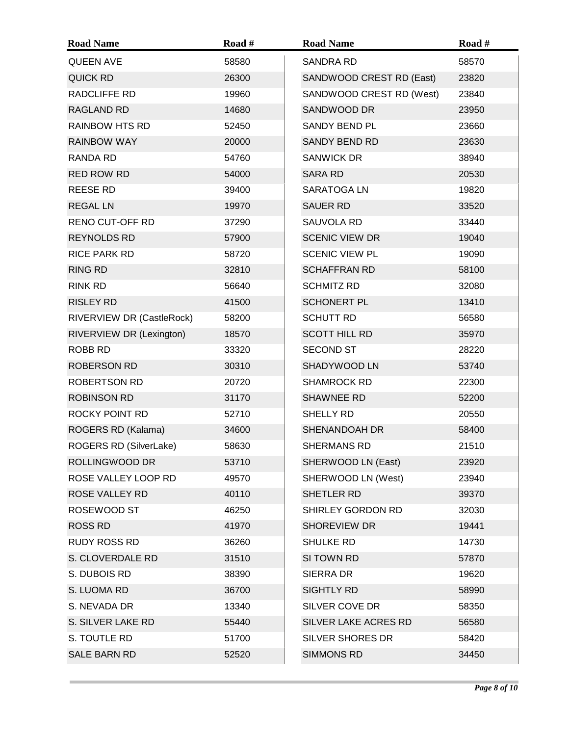| <b>Road Name</b>          | Road # | <b>Road Name</b>         | Road # |
|---------------------------|--------|--------------------------|--------|
| <b>QUEEN AVE</b>          | 58580  | <b>SANDRA RD</b>         | 58570  |
| QUICK RD                  | 26300  | SANDWOOD CREST RD (East) | 23820  |
| RADCLIFFE RD              | 19960  | SANDWOOD CREST RD (West) | 23840  |
| RAGLAND RD                | 14680  | SANDWOOD DR              | 23950  |
| <b>RAINBOW HTS RD</b>     | 52450  | <b>SANDY BEND PL</b>     | 23660  |
| <b>RAINBOW WAY</b>        | 20000  | SANDY BEND RD            | 23630  |
| RANDA RD                  | 54760  | <b>SANWICK DR</b>        | 38940  |
| RED ROW RD                | 54000  | <b>SARA RD</b>           | 20530  |
| <b>REESE RD</b>           | 39400  | SARATOGA LN              | 19820  |
| <b>REGAL LN</b>           | 19970  | <b>SAUER RD</b>          | 33520  |
| RENO CUT-OFF RD           | 37290  | SAUVOLA RD               | 33440  |
| <b>REYNOLDS RD</b>        | 57900  | <b>SCENIC VIEW DR</b>    | 19040  |
| <b>RICE PARK RD</b>       | 58720  | <b>SCENIC VIEW PL</b>    | 19090  |
| <b>RING RD</b>            | 32810  | <b>SCHAFFRAN RD</b>      | 58100  |
| RINK RD                   | 56640  | <b>SCHMITZ RD</b>        | 32080  |
| <b>RISLEY RD</b>          | 41500  | <b>SCHONERT PL</b>       | 13410  |
| RIVERVIEW DR (CastleRock) | 58200  | <b>SCHUTT RD</b>         | 56580  |
| RIVERVIEW DR (Lexington)  | 18570  | <b>SCOTT HILL RD</b>     | 35970  |
| <b>ROBB RD</b>            | 33320  | <b>SECOND ST</b>         | 28220  |
| <b>ROBERSON RD</b>        | 30310  | SHADYWOOD LN             | 53740  |
| ROBERTSON RD              | 20720  | <b>SHAMROCK RD</b>       | 22300  |
| <b>ROBINSON RD</b>        | 31170  | <b>SHAWNEE RD</b>        | 52200  |
| <b>ROCKY POINT RD</b>     | 52710  | SHELLY RD                | 20550  |
| ROGERS RD (Kalama)        | 34600  | SHENANDOAH DR            | 58400  |
| ROGERS RD (SilverLake)    | 58630  | <b>SHERMANS RD</b>       | 21510  |
| <b>ROLLINGWOOD DR</b>     | 53710  | SHERWOOD LN (East)       | 23920  |
| ROSE VALLEY LOOP RD       | 49570  | SHERWOOD LN (West)       | 23940  |
| ROSE VALLEY RD            | 40110  | SHETLER RD               | 39370  |
| ROSEWOOD ST               | 46250  | SHIRLEY GORDON RD        | 32030  |
| <b>ROSS RD</b>            | 41970  | SHOREVIEW DR             | 19441  |
| RUDY ROSS RD              | 36260  | SHULKE RD                | 14730  |
| S. CLOVERDALE RD          | 31510  | SI TOWN RD               | 57870  |
| S. DUBOIS RD              | 38390  | SIERRA DR                | 19620  |
| S. LUOMA RD               | 36700  | SIGHTLY RD               | 58990  |
| S. NEVADA DR              | 13340  | SILVER COVE DR           | 58350  |
| S. SILVER LAKE RD         | 55440  | SILVER LAKE ACRES RD     | 56580  |
| S. TOUTLE RD              | 51700  | SILVER SHORES DR         | 58420  |
| SALE BARN RD              | 52520  | <b>SIMMONS RD</b>        | 34450  |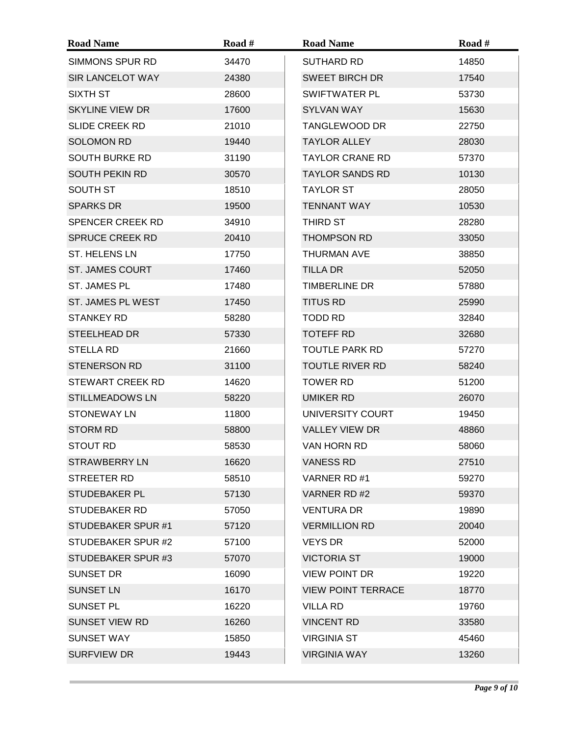| <b>Road Name</b>          | Road # | <b>Road Name</b>          | Road # |
|---------------------------|--------|---------------------------|--------|
| SIMMONS SPUR RD           | 34470  | <b>SUTHARD RD</b>         | 14850  |
| SIR LANCELOT WAY          | 24380  | <b>SWEET BIRCH DR</b>     | 17540  |
| SIXTH ST                  | 28600  | SWIFTWATER PL             | 53730  |
| <b>SKYLINE VIEW DR</b>    | 17600  | <b>SYLVAN WAY</b>         | 15630  |
| <b>SLIDE CREEK RD</b>     | 21010  | <b>TANGLEWOOD DR</b>      | 22750  |
| <b>SOLOMON RD</b>         | 19440  | <b>TAYLOR ALLEY</b>       | 28030  |
| <b>SOUTH BURKE RD</b>     | 31190  | <b>TAYLOR CRANE RD</b>    | 57370  |
| <b>SOUTH PEKIN RD</b>     | 30570  | <b>TAYLOR SANDS RD</b>    | 10130  |
| SOUTH ST                  | 18510  | <b>TAYLOR ST</b>          | 28050  |
| <b>SPARKS DR</b>          | 19500  | <b>TENNANT WAY</b>        | 10530  |
| <b>SPENCER CREEK RD</b>   | 34910  | THIRD ST                  | 28280  |
| <b>SPRUCE CREEK RD</b>    | 20410  | <b>THOMPSON RD</b>        | 33050  |
| ST. HELENS LN             | 17750  | THURMAN AVE               | 38850  |
| <b>ST. JAMES COURT</b>    | 17460  | <b>TILLA DR</b>           | 52050  |
| ST. JAMES PL              | 17480  | <b>TIMBERLINE DR</b>      | 57880  |
| ST. JAMES PL WEST         | 17450  | <b>TITUS RD</b>           | 25990  |
| <b>STANKEY RD</b>         | 58280  | TODD RD                   | 32840  |
| STEELHEAD DR              | 57330  | <b>TOTEFF RD</b>          | 32680  |
| <b>STELLA RD</b>          | 21660  | <b>TOUTLE PARK RD</b>     | 57270  |
| <b>STENERSON RD</b>       | 31100  | <b>TOUTLE RIVER RD</b>    | 58240  |
| <b>STEWART CREEK RD</b>   | 14620  | <b>TOWER RD</b>           | 51200  |
| <b>STILLMEADOWS LN</b>    | 58220  | UMIKER RD                 | 26070  |
| <b>STONEWAY LN</b>        | 11800  | UNIVERSITY COURT          | 19450  |
| <b>STORM RD</b>           | 58800  | <b>VALLEY VIEW DR</b>     | 48860  |
| STOUT RD                  | 58530  | VAN HORN RD               | 58060  |
| <b>STRAWBERRY LN</b>      | 16620  | <b>VANESS RD</b>          | 27510  |
| STREETER RD               | 58510  | VARNER RD #1              | 59270  |
| <b>STUDEBAKER PL</b>      | 57130  | VARNER RD #2              | 59370  |
| <b>STUDEBAKER RD</b>      | 57050  | <b>VENTURA DR</b>         | 19890  |
| <b>STUDEBAKER SPUR #1</b> | 57120  | <b>VERMILLION RD</b>      | 20040  |
| STUDEBAKER SPUR #2        | 57100  | <b>VEYS DR</b>            | 52000  |
| STUDEBAKER SPUR #3        | 57070  | <b>VICTORIA ST</b>        | 19000  |
| SUNSET DR                 | 16090  | <b>VIEW POINT DR</b>      | 19220  |
| <b>SUNSET LN</b>          | 16170  | <b>VIEW POINT TERRACE</b> | 18770  |
| SUNSET PL                 | 16220  | <b>VILLA RD</b>           | 19760  |
| <b>SUNSET VIEW RD</b>     | 16260  | <b>VINCENT RD</b>         | 33580  |
| <b>SUNSET WAY</b>         | 15850  | <b>VIRGINIA ST</b>        | 45460  |
| <b>SURFVIEW DR</b>        | 19443  | <b>VIRGINIA WAY</b>       | 13260  |